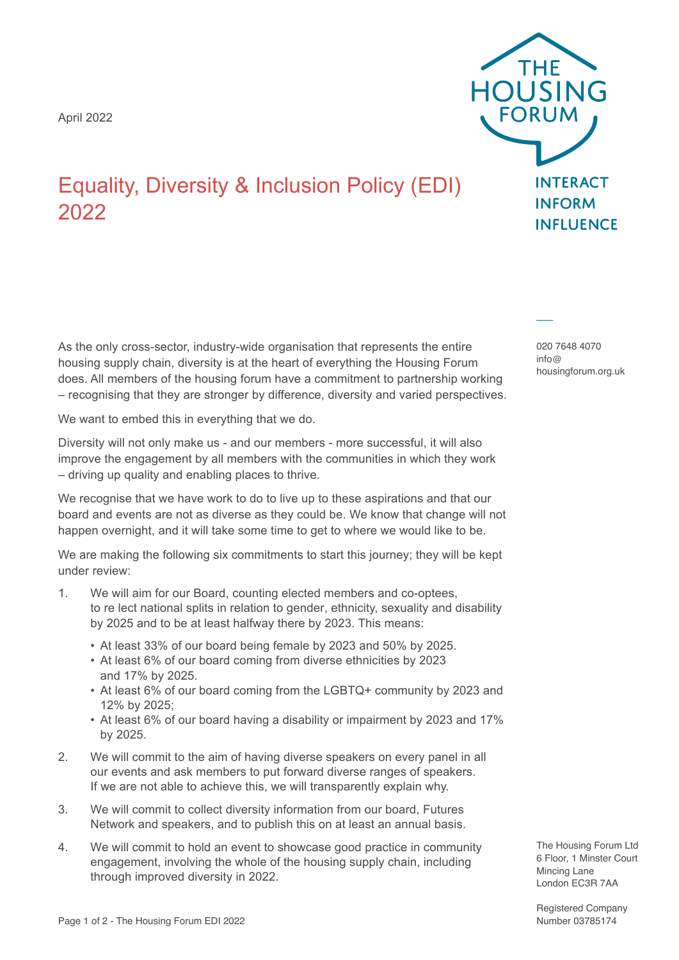April 2022



## Equality, Diversity & Inclusion Policy (EDI) 2022

As the only cross-sector, industry-wide organisation that represents the entire housing supply chain, diversity is at the heart of everything the Housing Forum does. All members of the housing forum have a commitment to partnership working – recognising that they are stronger by difference, diversity and varied perspectives.

We want to embed this in everything that we do.

Diversity will not only make us - and our members - more successful, it will also improve the engagement by all members with the communities in which they work – driving up quality and enabling places to thrive.

We recognise that we have work to do to live up to these aspirations and that our board and events are not as diverse as they could be. We know that change will not happen overnight, and it will take some time to get to where we would like to be.

We are making the following six commitments to start this journey; they will be kept under review:

- 1. We will aim for our Board, counting elected members and co-optees, to re lect national splits in relation to gender, ethnicity, sexuality and disability by 2025 and to be at least halfway there by 2023. This means:
	- At least 33% of our board being female by 2023 and 50% by 2025.
	- At least 6% of our board coming from diverse ethnicities by 2023 and 17% by 2025.
	- At least 6% of our board coming from the LGBTQ+ community by 2023 and 12% by 2025;
	- At least 6% of our board having a disability or impairment by 2023 and 17% by 2025.
- 2. We will commit to the aim of having diverse speakers on every panel in all our events and ask members to put forward diverse ranges of speakers. If we are not able to achieve this, we will transparently explain why.
- 3. We will commit to collect diversity information from our board, Futures Network and speakers, and to publish this on at least an annual basis.
- 4. We will commit to hold an event to showcase good practice in community engagement, involving the whole of the housing supply chain, including through improved diversity in 2022.

020 7648 4070 info@ housingforum.org.uk

The Housing Forum Ltd 6 Floor, 1 Minster Court Mincing Lane London EC3R 7AA

Registered Company Number 03785174